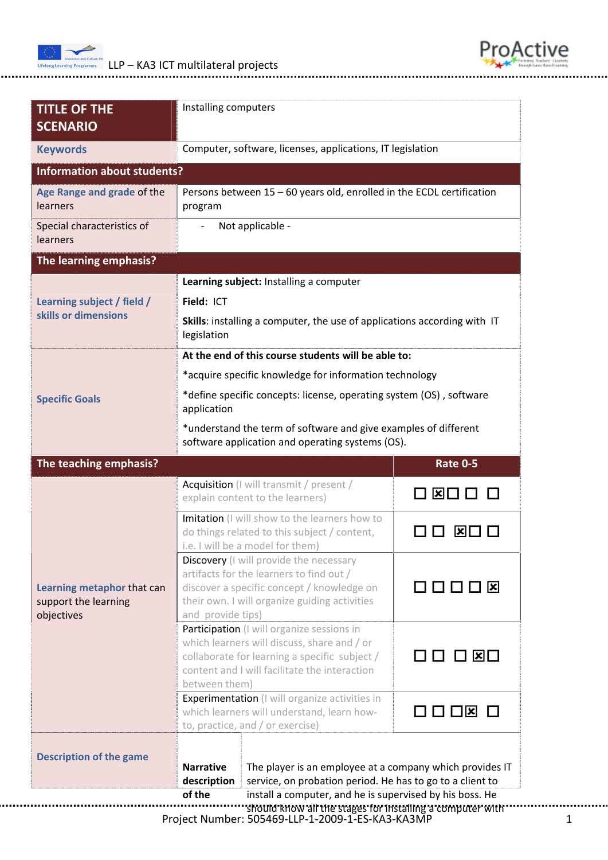

Installing computers

**TITLE OF THE**



Project Number: 505469‐LLP‐1‐2009‐1‐ES‐KA3‐KA3MP 1 **SCENARIO Keywords** Computer, software, licenses, applications, IT legislation **Information about students? Age Range and grade** of the learners Persons between 15 – 60 years old, enrolled in the ECDL certification program Special characteristics of learners ‐ Not applicable ‐ **The learning emphasis? Learning subject / field / skills or dimensions** **Learning subject:** Installing a computer **Field:** ICT **Skills**: installing a computer, the use of applications according with IT legislation **Specific Goals At the end of this course students will be able to:** \*acquire specific knowledge for information technology \*define specific concepts: license, operating system (OS) , software application \*understand the term of software and give examples of different software application and operating systems (OS).  **The teaching emphasis? <b>Example 2018 Rate 0-5** Acquisition (I will transmit / present / explain content to the learners)  $\Box$   $\Box$   $\Box$   $\Box$   $\Box$ Imitation (I will show to the learners how to do things related to this subject / content, i.e. I will be a model for them) **DD XDD** Discovery (I will provide the necessary artifacts for the learners to find out / discover a specific concept / knowledge on their own. I will organize guiding activities and provide tips) **DOOD** Participation (I will organize sessions in which learners will discuss, share and / or collaborate for learning a specific subject / content and I will facilitate the interaction between them) □□ □ ⊠□ **Learning metaphor** that can support the learning objectives Experimentation (I will organize activities in which learners will understand, learn howto, practice, and / or exercise)  $\Box \Box \Box \boxdot \boxdot$ **Description of the game Narrative description of the** The player is an employee at a company which provides IT service, on probation period. He has to go to a client to install a computer, and he is supervised by his boss. He should know all the stages for installing a computer with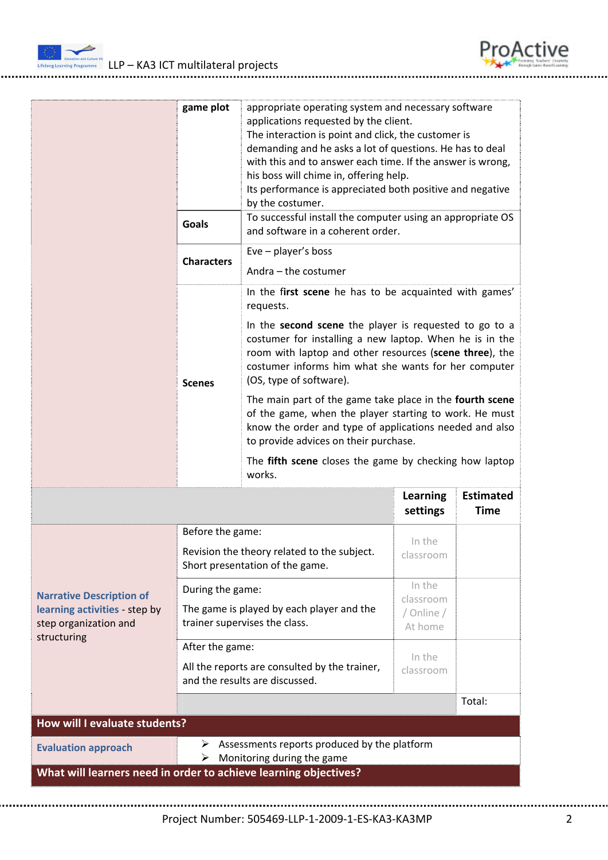



|                                                                                                          | game plot                                                                                          | appropriate operating system and necessary software<br>applications requested by the client.<br>The interaction is point and click, the customer is<br>demanding and he asks a lot of questions. He has to deal<br>with this and to answer each time. If the answer is wrong,<br>his boss will chime in, offering help.<br>Its performance is appreciated both positive and negative<br>by the costumer. |                                              |                                 |
|----------------------------------------------------------------------------------------------------------|----------------------------------------------------------------------------------------------------|----------------------------------------------------------------------------------------------------------------------------------------------------------------------------------------------------------------------------------------------------------------------------------------------------------------------------------------------------------------------------------------------------------|----------------------------------------------|---------------------------------|
|                                                                                                          | <b>Goals</b>                                                                                       | To successful install the computer using an appropriate OS<br>and software in a coherent order.                                                                                                                                                                                                                                                                                                          |                                              |                                 |
|                                                                                                          | <b>Characters</b>                                                                                  | $Eve$ – player's boss<br>Andra - the costumer                                                                                                                                                                                                                                                                                                                                                            |                                              |                                 |
|                                                                                                          | <b>Scenes</b>                                                                                      | In the first scene he has to be acquainted with games'<br>requests.                                                                                                                                                                                                                                                                                                                                      |                                              |                                 |
|                                                                                                          |                                                                                                    | In the second scene the player is requested to go to a<br>costumer for installing a new laptop. When he is in the<br>room with laptop and other resources (scene three), the<br>costumer informs him what she wants for her computer<br>(OS, type of software).                                                                                                                                          |                                              |                                 |
|                                                                                                          |                                                                                                    | The main part of the game take place in the fourth scene<br>of the game, when the player starting to work. He must<br>know the order and type of applications needed and also<br>to provide advices on their purchase.                                                                                                                                                                                   |                                              |                                 |
|                                                                                                          |                                                                                                    | The fifth scene closes the game by checking how laptop<br>works.                                                                                                                                                                                                                                                                                                                                         |                                              |                                 |
|                                                                                                          |                                                                                                    |                                                                                                                                                                                                                                                                                                                                                                                                          | <b>Learning</b><br>settings                  | <b>Estimated</b><br><b>Time</b> |
| <b>Narrative Description of</b><br>learning activities - step by<br>step organization and<br>structuring | Before the game:<br>Revision the theory related to the subject.<br>Short presentation of the game. |                                                                                                                                                                                                                                                                                                                                                                                                          | In the<br>classroom                          |                                 |
|                                                                                                          | During the game:<br>The game is played by each player and the<br>trainer supervises the class.     |                                                                                                                                                                                                                                                                                                                                                                                                          | In the<br>classroom<br>/ Online /<br>At home |                                 |
|                                                                                                          | After the game:<br>In the                                                                          |                                                                                                                                                                                                                                                                                                                                                                                                          |                                              |                                 |
|                                                                                                          | All the reports are consulted by the trainer,<br>classroom<br>and the results are discussed.       |                                                                                                                                                                                                                                                                                                                                                                                                          |                                              |                                 |
|                                                                                                          |                                                                                                    |                                                                                                                                                                                                                                                                                                                                                                                                          |                                              | Total:                          |
|                                                                                                          |                                                                                                    |                                                                                                                                                                                                                                                                                                                                                                                                          |                                              |                                 |
| How will I evaluate students?                                                                            |                                                                                                    |                                                                                                                                                                                                                                                                                                                                                                                                          |                                              |                                 |
| <b>Evaluation approach</b>                                                                               | ➤<br>➤                                                                                             | Assessments reports produced by the platform<br>Monitoring during the game                                                                                                                                                                                                                                                                                                                               |                                              |                                 |